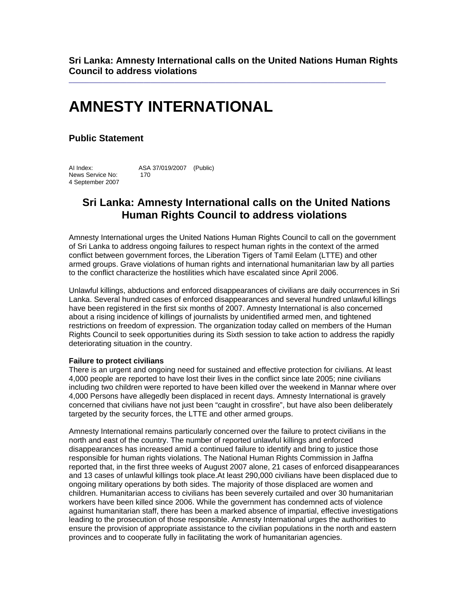**Sri Lanka: Amnesty International calls on the United Nations Human Rights Council to address violations** 

 $\_$  ,  $\_$  ,  $\_$  ,  $\_$  ,  $\_$  ,  $\_$  ,  $\_$  ,  $\_$  ,  $\_$  ,  $\_$  ,  $\_$  ,  $\_$  ,  $\_$  ,  $\_$  ,  $\_$  ,  $\_$  ,  $\_$  ,  $\_$  ,  $\_$  ,  $\_$ 

# **AMNESTY INTERNATIONAL**

### **Public Statement**

AI Index: ASA 37/019/2007 (Public) News Service No: 170 4 September 2007

## **Sri Lanka: Amnesty International calls on the United Nations Human Rights Council to address violations**

Amnesty International urges the United Nations Human Rights Council to call on the government of Sri Lanka to address ongoing failures to respect human rights in the context of the armed conflict between government forces, the Liberation Tigers of Tamil Eelam (LTTE) and other armed groups. Grave violations of human rights and international humanitarian law by all parties to the conflict characterize the hostilities which have escalated since April 2006.

Unlawful killings, abductions and enforced disappearances of civilians are daily occurrences in Sri Lanka. Several hundred cases of enforced disappearances and several hundred unlawful killings have been registered in the first six months of 2007. Amnesty International is also concerned about a rising incidence of killings of journalists by unidentified armed men, and tightened restrictions on freedom of expression. The organization today called on members of the Human Rights Council to seek opportunities during its Sixth session to take action to address the rapidly deteriorating situation in the country.

#### **Failure to protect civilians**

There is an urgent and ongoing need for sustained and effective protection for civilians. At least 4,000 people are reported to have lost their lives in the conflict since late 2005; nine civilians including two children were reported to have been killed over the weekend in Mannar where over 4,000 Persons have allegedly been displaced in recent days. Amnesty International is gravely concerned that civilians have not just been "caught in crossfire", but have also been deliberately targeted by the security forces, the LTTE and other armed groups.

Amnesty International remains particularly concerned over the failure to protect civilians in the north and east of the country. The number of reported unlawful killings and enforced disappearances has increased amid a continued failure to identify and bring to justice those responsible for human rights violations. The National Human Rights Commission in Jaffna reported that, in the first three weeks of August 2007 alone, 21 cases of enforced disappearances and 13 cases of unlawful killings took place.At least 290,000 civilians have been displaced due to ongoing military operations by both sides. The majority of those displaced are women and children. Humanitarian access to civilians has been severely curtailed and over 30 humanitarian workers have been killed since 2006. While the government has condemned acts of violence against humanitarian staff, there has been a marked absence of impartial, effective investigations leading to the prosecution of those responsible. Amnesty International urges the authorities to ensure the provision of appropriate assistance to the civilian populations in the north and eastern provinces and to cooperate fully in facilitating the work of humanitarian agencies.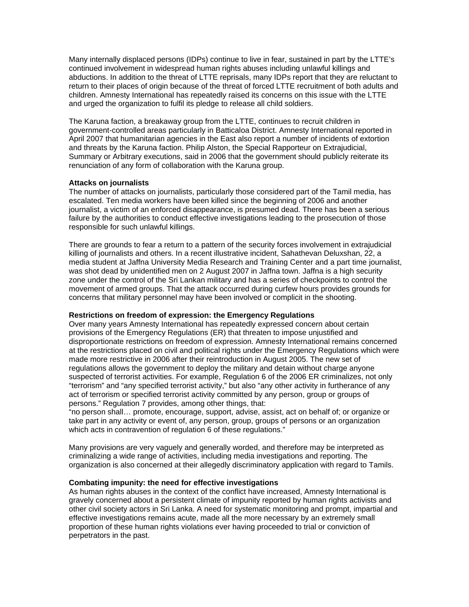Many internally displaced persons (IDPs) continue to live in fear, sustained in part by the LTTE's continued involvement in widespread human rights abuses including unlawful killings and abductions. In addition to the threat of LTTE reprisals, many IDPs report that they are reluctant to return to their places of origin because of the threat of forced LTTE recruitment of both adults and children. Amnesty International has repeatedly raised its concerns on this issue with the LTTE and urged the organization to fulfil its pledge to release all child soldiers.

The Karuna faction, a breakaway group from the LTTE, continues to recruit children in government-controlled areas particularly in Batticaloa District. Amnesty International reported in April 2007 that humanitarian agencies in the East also report a number of incidents of extortion and threats by the Karuna faction. Philip Alston, the Special Rapporteur on Extrajudicial, Summary or Arbitrary executions, said in 2006 that the government should publicly reiterate its renunciation of any form of collaboration with the Karuna group.

#### **Attacks on journalists**

The number of attacks on journalists, particularly those considered part of the Tamil media, has escalated. Ten media workers have been killed since the beginning of 2006 and another journalist, a victim of an enforced disappearance, is presumed dead. There has been a serious failure by the authorities to conduct effective investigations leading to the prosecution of those responsible for such unlawful killings.

There are grounds to fear a return to a pattern of the security forces involvement in extrajudicial killing of journalists and others. In a recent illustrative incident, Sahathevan Deluxshan, 22, a media student at Jaffna University Media Research and Training Center and a part time journalist, was shot dead by unidentified men on 2 August 2007 in Jaffna town. Jaffna is a high security zone under the control of the Sri Lankan military and has a series of checkpoints to control the movement of armed groups. That the attack occurred during curfew hours provides grounds for concerns that military personnel may have been involved or complicit in the shooting.

#### **Restrictions on freedom of expression: the Emergency Regulations**

Over many years Amnesty International has repeatedly expressed concern about certain provisions of the Emergency Regulations (ER) that threaten to impose unjustified and disproportionate restrictions on freedom of expression. Amnesty International remains concerned at the restrictions placed on civil and political rights under the Emergency Regulations which were made more restrictive in 2006 after their reintroduction in August 2005. The new set of regulations allows the government to deploy the military and detain without charge anyone suspected of terrorist activities. For example, Regulation 6 of the 2006 ER criminalizes, not only "terrorism" and "any specified terrorist activity," but also "any other activity in furtherance of any act of terrorism or specified terrorist activity committed by any person, group or groups of persons." Regulation 7 provides, among other things, that:

"no person shall… promote, encourage, support, advise, assist, act on behalf of; or organize or take part in any activity or event of, any person, group, groups of persons or an organization which acts in contravention of regulation 6 of these regulations."

Many provisions are very vaguely and generally worded, and therefore may be interpreted as criminalizing a wide range of activities, including media investigations and reporting. The organization is also concerned at their allegedly discriminatory application with regard to Tamils.

#### **Combating impunity: the need for effective investigations**

As human rights abuses in the context of the conflict have increased, Amnesty International is gravely concerned about a persistent climate of impunity reported by human rights activists and other civil society actors in Sri Lanka. A need for systematic monitoring and prompt, impartial and effective investigations remains acute, made all the more necessary by an extremely small proportion of these human rights violations ever having proceeded to trial or conviction of perpetrators in the past.